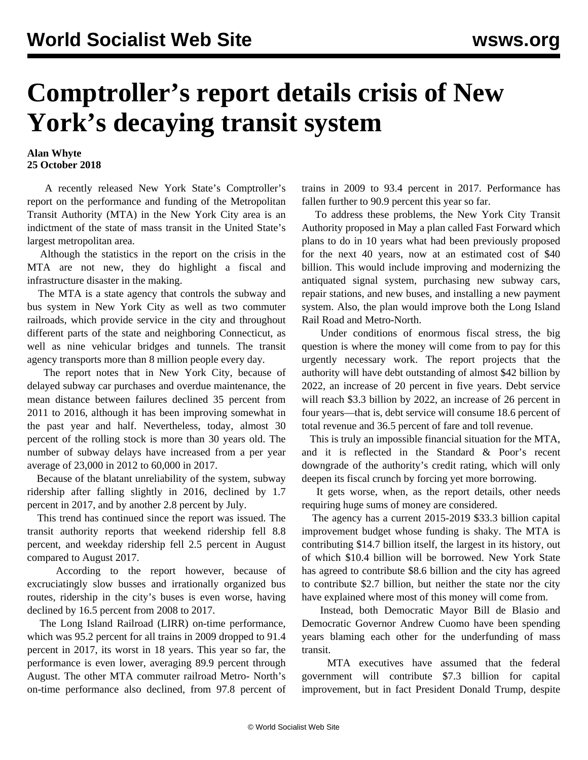## **Comptroller's report details crisis of New York's decaying transit system**

## **Alan Whyte 25 October 2018**

 A recently released New York State's Comptroller's report on the performance and funding of the Metropolitan Transit Authority (MTA) in the New York City area is an indictment of the state of mass transit in the United State's largest metropolitan area.

 Although the statistics in the report on the crisis in the MTA are not new, they do highlight a fiscal and infrastructure disaster in the making.

 The MTA is a state agency that controls the subway and bus system in New York City as well as two commuter railroads, which provide service in the city and throughout different parts of the state and neighboring Connecticut, as well as nine vehicular bridges and tunnels. The transit agency transports more than 8 million people every day.

 The report notes that in New York City, because of delayed subway car purchases and overdue maintenance, the mean distance between failures declined 35 percent from 2011 to 2016, although it has been improving somewhat in the past year and half. Nevertheless, today, almost 30 percent of the rolling stock is more than 30 years old. The number of subway delays have increased from a per year average of 23,000 in 2012 to 60,000 in 2017.

 Because of the blatant unreliability of the system, subway ridership after falling slightly in 2016, declined by 1.7 percent in 2017, and by another 2.8 percent by July.

 This trend has continued since the report was issued. The transit authority reports that weekend ridership fell 8.8 percent, and weekday ridership fell 2.5 percent in August compared to August 2017.

 According to the report however, because of excruciatingly slow busses and irrationally organized bus routes, ridership in the city's buses is even worse, having declined by 16.5 percent from 2008 to 2017.

 The Long Island Railroad (LIRR) on-time performance, which was 95.2 percent for all trains in 2009 dropped to 91.4 percent in 2017, its worst in 18 years. This year so far, the performance is even lower, averaging 89.9 percent through August. The other MTA commuter railroad Metro- North's on-time performance also declined, from 97.8 percent of trains in 2009 to 93.4 percent in 2017. Performance has fallen further to 90.9 percent this year so far.

 To address these problems, the New York City Transit Authority proposed in May a plan called Fast Forward which plans to do in 10 years what had been previously proposed for the next 40 years, now at an estimated cost of \$40 billion. This would include improving and modernizing the antiquated signal system, purchasing new subway cars, repair stations, and new buses, and installing a new payment system. Also, the plan would improve both the Long Island Rail Road and Metro-North.

 Under conditions of enormous fiscal stress, the big question is where the money will come from to pay for this urgently necessary work. The report projects that the authority will have debt outstanding of almost \$42 billion by 2022, an increase of 20 percent in five years. Debt service will reach \$3.3 billion by 2022, an increase of 26 percent in four years—that is, debt service will consume 18.6 percent of total revenue and 36.5 percent of fare and toll revenue.

 This is truly an impossible financial situation for the MTA, and it is reflected in the Standard & Poor's recent downgrade of the authority's credit rating, which will only deepen its fiscal crunch by forcing yet more borrowing.

 It gets worse, when, as the report details, other needs requiring huge sums of money are considered.

 The agency has a current 2015-2019 \$33.3 billion capital improvement budget whose funding is shaky. The MTA is contributing \$14.7 billion itself, the largest in its history, out of which \$10.4 billion will be borrowed. New York State has agreed to contribute \$8.6 billion and the city has agreed to contribute \$2.7 billion, but neither the state nor the city have explained where most of this money will come from.

 Instead, both Democratic Mayor Bill de Blasio and Democratic Governor Andrew Cuomo have been spending years blaming each other for the underfunding of mass transit.

 MTA executives have assumed that the federal government will contribute \$7.3 billion for capital improvement, but in fact President Donald Trump, despite